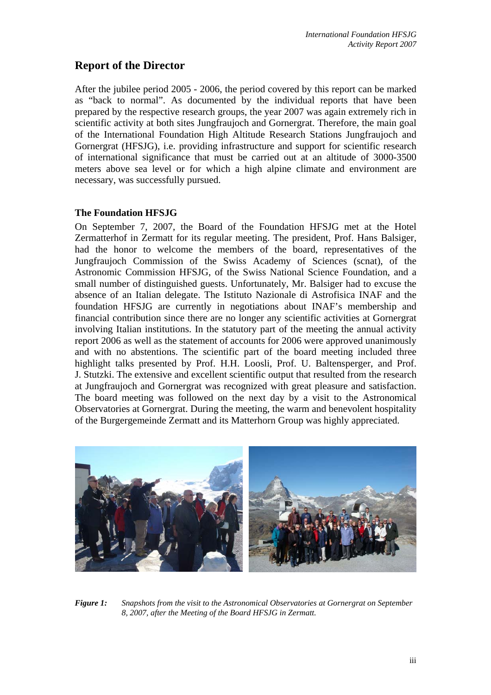# **Report of the Director**

After the jubilee period 2005 - 2006, the period covered by this report can be marked as "back to normal". As documented by the individual reports that have been prepared by the respective research groups, the year 2007 was again extremely rich in scientific activity at both sites Jungfraujoch and Gornergrat. Therefore, the main goal of the International Foundation High Altitude Research Stations Jungfraujoch and Gornergrat (HFSJG), i.e. providing infrastructure and support for scientific research of international significance that must be carried out at an altitude of 3000-3500 meters above sea level or for which a high alpine climate and environment are necessary, was successfully pursued.

### **The Foundation HFSJG**

On September 7, 2007, the Board of the Foundation HFSJG met at the Hotel Zermatterhof in Zermatt for its regular meeting. The president, Prof. Hans Balsiger, had the honor to welcome the members of the board, representatives of the Jungfraujoch Commission of the Swiss Academy of Sciences (scnat), of the Astronomic Commission HFSJG, of the Swiss National Science Foundation, and a small number of distinguished guests. Unfortunately, Mr. Balsiger had to excuse the absence of an Italian delegate. The Istituto Nazionale di Astrofisica INAF and the foundation HFSJG are currently in negotiations about INAF's membership and financial contribution since there are no longer any scientific activities at Gornergrat involving Italian institutions. In the statutory part of the meeting the annual activity report 2006 as well as the statement of accounts for 2006 were approved unanimously and with no abstentions. The scientific part of the board meeting included three highlight talks presented by Prof. H.H. Loosli, Prof. U. Baltensperger, and Prof. J. Stutzki. The extensive and excellent scientific output that resulted from the research at Jungfraujoch and Gornergrat was recognized with great pleasure and satisfaction. The board meeting was followed on the next day by a visit to the Astronomical Observatories at Gornergrat. During the meeting, the warm and benevolent hospitality of the Burgergemeinde Zermatt and its Matterhorn Group was highly appreciated.



*Figure 1: Snapshots from the visit to the Astronomical Observatories at Gornergrat on September 8, 2007, after the Meeting of the Board HFSJG in Zermatt.*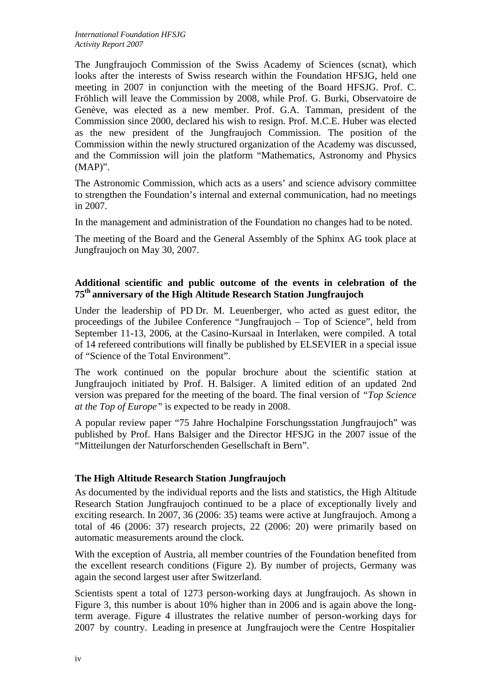The Jungfraujoch Commission of the Swiss Academy of Sciences (scnat), which looks after the interests of Swiss research within the Foundation HFSJG, held one meeting in 2007 in conjunction with the meeting of the Board HFSJG. Prof. C. Fröhlich will leave the Commission by 2008, while Prof. G. Burki, Observatoire de Genève, was elected as a new member. Prof. G.A. Tamman, president of the Commission since 2000, declared his wish to resign. Prof. M.C.E. Huber was elected as the new president of the Jungfraujoch Commission. The position of the Commission within the newly structured organization of the Academy was discussed, and the Commission will join the platform "Mathematics, Astronomy and Physics (MAP)".

The Astronomic Commission, which acts as a users' and science advisory committee to strengthen the Foundation's internal and external communication, had no meetings in 2007.

In the management and administration of the Foundation no changes had to be noted.

The meeting of the Board and the General Assembly of the Sphinx AG took place at Jungfraujoch on May 30, 2007.

## **Additional scientific and public outcome of the events in celebration of the 75th anniversary of the High Altitude Research Station Jungfraujoch**

Under the leadership of PD Dr. M. Leuenberger, who acted as guest editor, the proceedings of the Jubilee Conference "Jungfraujoch – Top of Science", held from September 11-13, 2006, at the Casino-Kursaal in Interlaken, were compiled. A total of 14 refereed contributions will finally be published by ELSEVIER in a special issue of "Science of the Total Environment".

The work continued on the popular brochure about the scientific station at Jungfraujoch initiated by Prof. H. Balsiger. A limited edition of an updated 2nd version was prepared for the meeting of the board. The final version of *"Top Science at the Top of Europe"* is expected to be ready in 2008.

A popular review paper "75 Jahre Hochalpine Forschungsstation Jungfraujoch" was published by Prof. Hans Balsiger and the Director HFSJG in the 2007 issue of the "Mitteilungen der Naturforschenden Gesellschaft in Bern".

## **The High Altitude Research Station Jungfraujoch**

As documented by the individual reports and the lists and statistics, the High Altitude Research Station Jungfraujoch continued to be a place of exceptionally lively and exciting research. In 2007, 36 (2006: 35) teams were active at Jungfraujoch. Among a total of 46 (2006: 37) research projects, 22 (2006: 20) were primarily based on automatic measurements around the clock.

With the exception of Austria, all member countries of the Foundation benefited from the excellent research conditions (Figure 2). By number of projects, Germany was again the second largest user after Switzerland.

Scientists spent a total of 1273 person-working days at Jungfraujoch. As shown in Figure 3, this number is about 10% higher than in 2006 and is again above the longterm average. Figure 4 illustrates the relative number of person-working days for 2007 by country. Leading in presence at Jungfraujoch were the Centre Hospitalier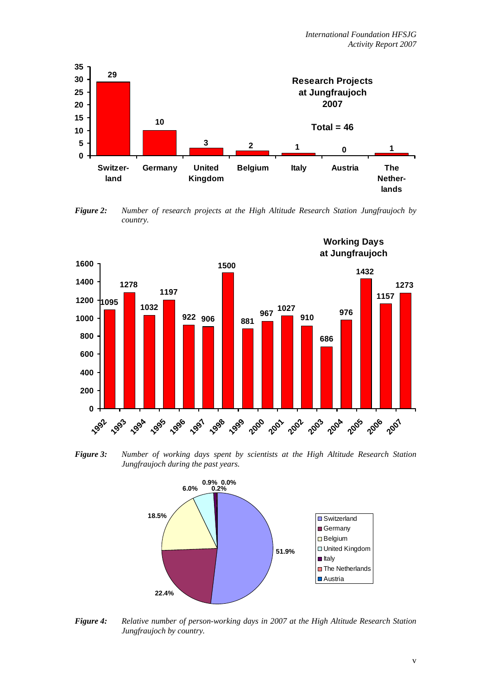

*Figure 2: Number of research projects at the High Altitude Research Station Jungfraujoch by country.* 



*Figure 3: Number of working days spent by scientists at the High Altitude Research Station Jungfraujoch during the past years.* 



*Figure 4: Relative number of person-working days in 2007 at the High Altitude Research Station Jungfraujoch by country.*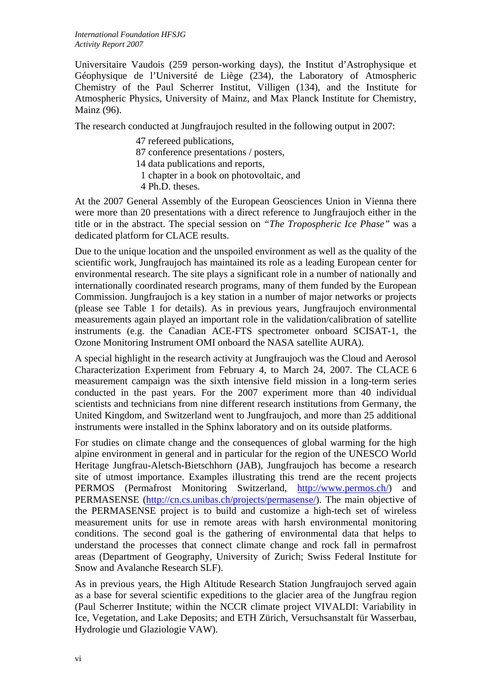Universitaire Vaudois (259 person-working days), the Institut d'Astrophysique et Géophysique de l'Université de Liège (234), the Laboratory of Atmospheric Chemistry of the Paul Scherrer Institut, Villigen (134), and the Institute for Atmospheric Physics, University of Mainz, and Max Planck Institute for Chemistry, Mainz (96).

The research conducted at Jungfraujoch resulted in the following output in 2007:

- 47 refereed publications,
- 87 conference presentations / posters,
- 14 data publications and reports,
	- 1 chapter in a book on photovoltaic, and
- 4 Ph.D. theses.

At the 2007 General Assembly of the European Geosciences Union in Vienna there were more than 20 presentations with a direct reference to Jungfraujoch either in the title or in the abstract. The special session on *"The Tropospheric Ice Phase"* was a dedicated platform for CLACE results.

Due to the unique location and the unspoiled environment as well as the quality of the scientific work, Jungfraujoch has maintained its role as a leading European center for environmental research. The site plays a significant role in a number of nationally and internationally coordinated research programs, many of them funded by the European Commission. Jungfraujoch is a key station in a number of major networks or projects (please see Table 1 for details). As in previous years, Jungfraujoch environmental measurements again played an important role in the validation/calibration of satellite instruments (e.g. the Canadian ACE-FTS spectrometer onboard SCISAT-1, the Ozone Monitoring Instrument OMI onboard the NASA satellite AURA).

A special highlight in the research activity at Jungfraujoch was the Cloud and Aerosol Characterization Experiment from February 4, to March 24, 2007. The CLACE 6 measurement campaign was the sixth intensive field mission in a long-term series conducted in the past years. For the 2007 experiment more than 40 individual scientists and technicians from nine different research institutions from Germany, the United Kingdom, and Switzerland went to Jungfraujoch, and more than 25 additional instruments were installed in the Sphinx laboratory and on its outside platforms.

For studies on climate change and the consequences of global warming for the high alpine environment in general and in particular for the region of the UNESCO World Heritage Jungfrau-Aletsch-Bietschhorn (JAB), Jungfraujoch has become a research site of utmost importance. Examples illustrating this trend are the recent projects PERMOS (Permafrost Monitoring Switzerland, http://www.permos.ch/) and PERMASENSE (http://cn.cs.unibas.ch/projects/permasense/). The main objective of the PERMASENSE project is to build and customize a high-tech set of wireless measurement units for use in remote areas with harsh environmental monitoring conditions. The second goal is the gathering of environmental data that helps to understand the processes that connect climate change and rock fall in permafrost areas (Department of Geography, University of Zurich; Swiss Federal Institute for Snow and Avalanche Research SLF).

As in previous years, the High Altitude Research Station Jungfraujoch served again as a base for several scientific expeditions to the glacier area of the Jungfrau region (Paul Scherrer Institute; within the NCCR climate project VIVALDI: Variability in Ice, Vegetation, and Lake Deposits; and ETH Zürich, Versuchsanstalt für Wasserbau, Hydrologie und Glaziologie VAW).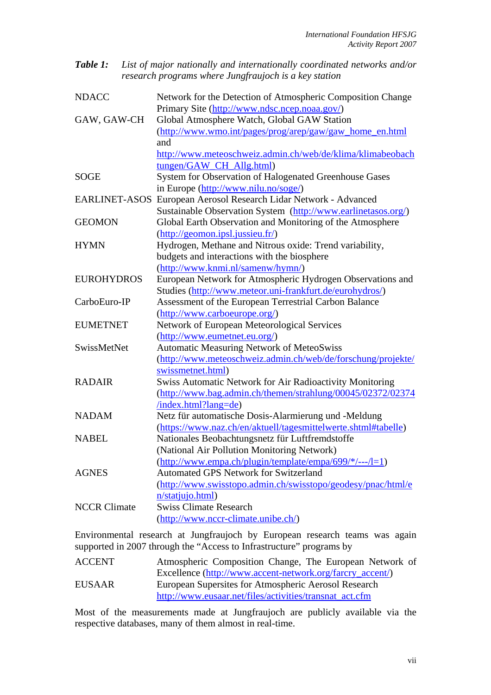| <b>Table 1:</b> List of major nationally and internationally coordinated networks and/or |
|------------------------------------------------------------------------------------------|
| research programs where Jungfraujoch is a key station                                    |

| <b>NDACC</b>        | Network for the Detection of Atmospheric Composition Change      |
|---------------------|------------------------------------------------------------------|
|                     | Primary Site (http://www.ndsc.ncep.noaa.gov/)                    |
| GAW, GAW-CH         | Global Atmosphere Watch, Global GAW Station                      |
|                     | (http://www.wmo.int/pages/prog/arep/gaw/gaw_home_en.html         |
|                     | and                                                              |
|                     | http://www.meteoschweiz.admin.ch/web/de/klima/klimabeobach       |
|                     | tungen/GAW_CH_Allg.html)                                         |
| SOGE                | System for Observation of Halogenated Greenhouse Gases           |
|                     | in Europe (http://www.nilu.no/soge/)                             |
|                     | EARLINET-ASOS European Aerosol Research Lidar Network - Advanced |
|                     | Sustainable Observation System (http://www.earlinetasos.org/)    |
| <b>GEOMON</b>       | Global Earth Observation and Monitoring of the Atmosphere        |
|                     | (http://geomon.ipsl.jussieu.fr/)                                 |
| <b>HYMN</b>         | Hydrogen, Methane and Nitrous oxide: Trend variability,          |
|                     | budgets and interactions with the biosphere                      |
|                     | (http://www.knmi.nl/samenw/hymn/)                                |
| <b>EUROHYDROS</b>   | European Network for Atmospheric Hydrogen Observations and       |
|                     | Studies (http://www.meteor.uni-frankfurt.de/eurohydros/)         |
| CarboEuro-IP        | Assessment of the European Terrestrial Carbon Balance            |
|                     | (http://www.carboeurope.org/)                                    |
| <b>EUMETNET</b>     | Network of European Meteorological Services                      |
|                     | (http://www.eumetnet.eu.org/)                                    |
| SwissMetNet         | Automatic Measuring Network of MeteoSwiss                        |
|                     | (http://www.meteoschweiz.admin.ch/web/de/forschung/projekte/     |
|                     | swissmetnet.html)                                                |
| <b>RADAIR</b>       | Swiss Automatic Network for Air Radioactivity Monitoring         |
|                     | (http://www.bag.admin.ch/themen/strahlung/00045/02372/02374      |
|                     | /index.html?lang=de)                                             |
| <b>NADAM</b>        | Netz für automatische Dosis-Alarmierung und -Meldung             |
|                     | (https://www.naz.ch/en/aktuell/tagesmittelwerte.shtml#tabelle)   |
| <b>NABEL</b>        | Nationales Beobachtungsnetz für Luftfremdstoffe                  |
|                     | (National Air Pollution Monitoring Network)                      |
|                     | (http://www.empa.ch/plugin/template/empa/699/*/---/l=1)          |
| <b>AGNES</b>        | <b>Automated GPS Network for Switzerland</b>                     |
|                     | (http://www.swisstopo.admin.ch/swisstopo/geodesy/pnac/html/e     |
|                     | n/statjujo.html)                                                 |
| <b>NCCR Climate</b> | <b>Swiss Climate Research</b>                                    |
|                     | (http://www.nccr-climate.unibe.ch/)                              |
|                     |                                                                  |

Environmental research at Jungfraujoch by European research teams was again supported in 2007 through the "Access to Infrastructure" programs by

| ACCENT        | Atmospheric Composition Change, The European Network of   |
|---------------|-----------------------------------------------------------|
|               | Excellence (http://www.accent-network.org/farcry_accent/) |
| <b>EUSAAR</b> | European Supersites for Atmospheric Aerosol Research      |
|               | http://www.eusaar.net/files/activities/transnat act.cfm   |

Most of the measurements made at Jungfraujoch are publicly available via the respective databases, many of them almost in real-time.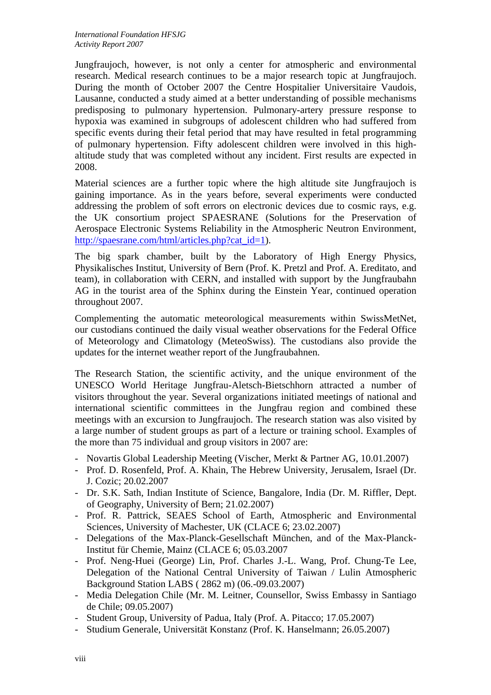Jungfraujoch, however, is not only a center for atmospheric and environmental research. Medical research continues to be a major research topic at Jungfraujoch. During the month of October 2007 the Centre Hospitalier Universitaire Vaudois, Lausanne, conducted a study aimed at a better understanding of possible mechanisms predisposing to pulmonary hypertension. Pulmonary-artery pressure response to hypoxia was examined in subgroups of adolescent children who had suffered from specific events during their fetal period that may have resulted in fetal programming of pulmonary hypertension. Fifty adolescent children were involved in this highaltitude study that was completed without any incident. First results are expected in 2008.

Material sciences are a further topic where the high altitude site Jungfraujoch is gaining importance. As in the years before, several experiments were conducted addressing the problem of soft errors on electronic devices due to cosmic rays, e.g. the UK consortium project SPAESRANE (Solutions for the Preservation of Aerospace Electronic Systems Reliability in the Atmospheric Neutron Environment, http://spaesrane.com/html/articles.php?cat\_id=1).

The big spark chamber, built by the Laboratory of High Energy Physics, Physikalisches Institut, University of Bern (Prof. K. Pretzl and Prof. A. Ereditato, and team), in collaboration with CERN, and installed with support by the Jungfraubahn AG in the tourist area of the Sphinx during the Einstein Year, continued operation throughout 2007.

Complementing the automatic meteorological measurements within SwissMetNet, our custodians continued the daily visual weather observations for the Federal Office of Meteorology and Climatology (MeteoSwiss). The custodians also provide the updates for the internet weather report of the Jungfraubahnen.

The Research Station, the scientific activity, and the unique environment of the UNESCO World Heritage Jungfrau-Aletsch-Bietschhorn attracted a number of visitors throughout the year. Several organizations initiated meetings of national and international scientific committees in the Jungfrau region and combined these meetings with an excursion to Jungfraujoch. The research station was also visited by a large number of student groups as part of a lecture or training school. Examples of the more than 75 individual and group visitors in 2007 are:

- Novartis Global Leadership Meeting (Vischer, Merkt & Partner AG, 10.01.2007)
- Prof. D. Rosenfeld, Prof. A. Khain, The Hebrew University, Jerusalem, Israel (Dr. J. Cozic; 20.02.2007
- Dr. S.K. Sath, Indian Institute of Science, Bangalore, India (Dr. M. Riffler, Dept. of Geography, University of Bern; 21.02.2007)
- Prof. R. Pattrick, SEAES School of Earth, Atmospheric and Environmental Sciences, University of Machester, UK (CLACE 6; 23.02.2007)
- Delegations of the Max-Planck-Gesellschaft München, and of the Max-Planck-Institut für Chemie, Mainz (CLACE 6; 05.03.2007
- Prof. Neng-Huei (George) Lin, Prof. Charles J.-L. Wang, Prof. Chung-Te Lee, Delegation of the National Central University of Taiwan / Lulin Atmospheric Background Station LABS ( 2862 m) (06.-09.03.2007)
- Media Delegation Chile (Mr. M. Leitner, Counsellor, Swiss Embassy in Santiago de Chile; 09.05.2007)
- Student Group, University of Padua, Italy (Prof. A. Pitacco; 17.05.2007)
- Studium Generale, Universität Konstanz (Prof. K. Hanselmann; 26.05.2007)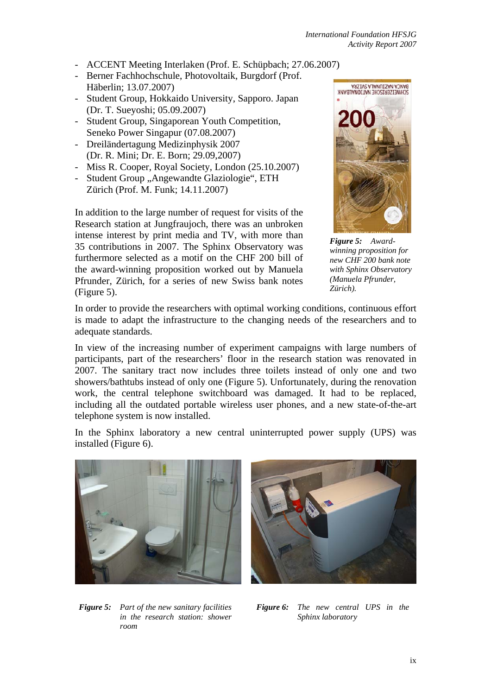- ACCENT Meeting Interlaken (Prof. E. Schüpbach; 27.06.2007)
- Berner Fachhochschule, Photovoltaik, Burgdorf (Prof. Häberlin; 13.07.2007)
- Student Group, Hokkaido University, Sapporo. Japan (Dr. T. Sueyoshi; 05.09.2007)
- Student Group, Singaporean Youth Competition, Seneko Power Singapur (07.08.2007)
- Dreiländertagung Medizinphysik 2007 (Dr. R. Mini; Dr. E. Born; 29.09,2007)
- Miss R. Cooper, Royal Society, London (25.10.2007)
- Student Group "Angewandte Glaziologie", ETH Zürich (Prof. M. Funk; 14.11.2007)

In addition to the large number of request for visits of the Research station at Jungfraujoch, there was an unbroken intense interest by print media and TV, with more than 35 contributions in 2007. The Sphinx Observatory was furthermore selected as a motif on the CHF 200 bill of the award-winning proposition worked out by Manuela Pfrunder, Zürich, for a series of new Swiss bank notes (Figure 5).



*Figure 5: Awardwinning proposition for new CHF 200 bank note with Sphinx Observatory (Manuela Pfrunder, Zürich).* 

In order to provide the researchers with optimal working conditions, continuous effort is made to adapt the infrastructure to the changing needs of the researchers and to adequate standards.

In view of the increasing number of experiment campaigns with large numbers of participants, part of the researchers' floor in the research station was renovated in 2007. The sanitary tract now includes three toilets instead of only one and two showers/bathtubs instead of only one (Figure 5). Unfortunately, during the renovation work, the central telephone switchboard was damaged. It had to be replaced, including all the outdated portable wireless user phones, and a new state-of-the-art telephone system is now installed.

In the Sphinx laboratory a new central uninterrupted power supply (UPS) was installed (Figure 6).





*Figure 5: Part of the new sanitary facilities in the research station: shower room* 

*Figure 6: The new central UPS in the Sphinx laboratory*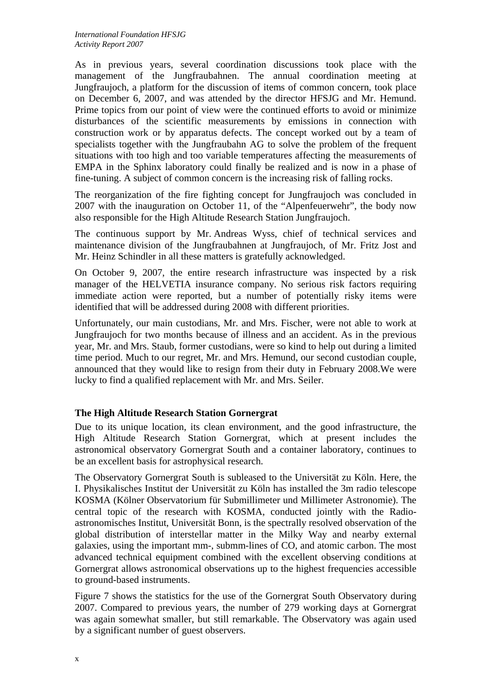As in previous years, several coordination discussions took place with the management of the Jungfraubahnen. The annual coordination meeting at Jungfraujoch, a platform for the discussion of items of common concern, took place on December 6, 2007, and was attended by the director HFSJG and Mr. Hemund. Prime topics from our point of view were the continued efforts to avoid or minimize disturbances of the scientific measurements by emissions in connection with construction work or by apparatus defects. The concept worked out by a team of specialists together with the Jungfraubahn AG to solve the problem of the frequent situations with too high and too variable temperatures affecting the measurements of EMPA in the Sphinx laboratory could finally be realized and is now in a phase of fine-tuning. A subject of common concern is the increasing risk of falling rocks.

The reorganization of the fire fighting concept for Jungfraujoch was concluded in 2007 with the inauguration on October 11, of the "Alpenfeuerwehr", the body now also responsible for the High Altitude Research Station Jungfraujoch.

The continuous support by Mr. Andreas Wyss, chief of technical services and maintenance division of the Jungfraubahnen at Jungfraujoch, of Mr. Fritz Jost and Mr. Heinz Schindler in all these matters is gratefully acknowledged.

On October 9, 2007, the entire research infrastructure was inspected by a risk manager of the HELVETIA insurance company. No serious risk factors requiring immediate action were reported, but a number of potentially risky items were identified that will be addressed during 2008 with different priorities.

Unfortunately, our main custodians, Mr. and Mrs. Fischer, were not able to work at Jungfraujoch for two months because of illness and an accident. As in the previous year, Mr. and Mrs. Staub, former custodians, were so kind to help out during a limited time period. Much to our regret, Mr. and Mrs. Hemund, our second custodian couple, announced that they would like to resign from their duty in February 2008.We were lucky to find a qualified replacement with Mr. and Mrs. Seiler.

## **The High Altitude Research Station Gornergrat**

Due to its unique location, its clean environment, and the good infrastructure, the High Altitude Research Station Gornergrat, which at present includes the astronomical observatory Gornergrat South and a container laboratory, continues to be an excellent basis for astrophysical research.

The Observatory Gornergrat South is subleased to the Universität zu Köln. Here, the I. Physikalisches Institut der Universität zu Köln has installed the 3m radio telescope KOSMA (Kölner Observatorium für Submillimeter und Millimeter Astronomie). The central topic of the research with KOSMA, conducted jointly with the Radioastronomisches Institut, Universität Bonn, is the spectrally resolved observation of the global distribution of interstellar matter in the Milky Way and nearby external galaxies, using the important mm-, submm-lines of CO, and atomic carbon. The most advanced technical equipment combined with the excellent observing conditions at Gornergrat allows astronomical observations up to the highest frequencies accessible to ground-based instruments.

Figure 7 shows the statistics for the use of the Gornergrat South Observatory during 2007. Compared to previous years, the number of 279 working days at Gornergrat was again somewhat smaller, but still remarkable. The Observatory was again used by a significant number of guest observers.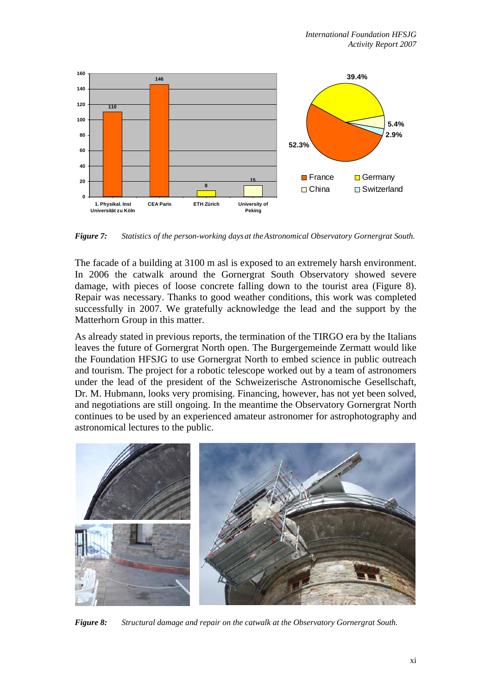

*Figure 7: Statistics of the person-working days at the Astronomical Observatory Gornergrat South.* 

The facade of a building at 3100 m asl is exposed to an extremely harsh environment. In 2006 the catwalk around the Gornergrat South Observatory showed severe damage, with pieces of loose concrete falling down to the tourist area (Figure 8). Repair was necessary. Thanks to good weather conditions, this work was completed successfully in 2007. We gratefully acknowledge the lead and the support by the Matterhorn Group in this matter.

As already stated in previous reports, the termination of the TIRGO era by the Italians leaves the future of Gornergrat North open. The Burgergemeinde Zermatt would like the Foundation HFSJG to use Gornergrat North to embed science in public outreach and tourism. The project for a robotic telescope worked out by a team of astronomers under the lead of the president of the Schweizerische Astronomische Gesellschaft, Dr. M. Hubmann, looks very promising. Financing, however, has not yet been solved, and negotiations are still ongoing. In the meantime the Observatory Gornergrat North continues to be used by an experienced amateur astronomer for astrophotography and astronomical lectures to the public.



*Figure 8: Structural damage and repair on the catwalk at the Observatory Gornergrat South.*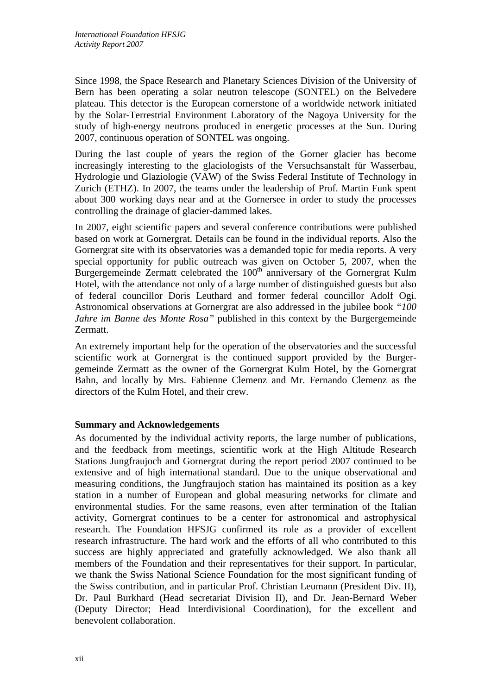Since 1998, the Space Research and Planetary Sciences Division of the University of Bern has been operating a solar neutron telescope (SONTEL) on the Belvedere plateau. This detector is the European cornerstone of a worldwide network initiated by the Solar-Terrestrial Environment Laboratory of the Nagoya University for the study of high-energy neutrons produced in energetic processes at the Sun. During 2007, continuous operation of SONTEL was ongoing.

During the last couple of years the region of the Gorner glacier has become increasingly interesting to the glaciologists of the Versuchsanstalt für Wasserbau, Hydrologie und Glaziologie (VAW) of the Swiss Federal Institute of Technology in Zurich (ETHZ). In 2007, the teams under the leadership of Prof. Martin Funk spent about 300 working days near and at the Gornersee in order to study the processes controlling the drainage of glacier-dammed lakes.

In 2007, eight scientific papers and several conference contributions were published based on work at Gornergrat. Details can be found in the individual reports. Also the Gornergrat site with its observatories was a demanded topic for media reports. A very special opportunity for public outreach was given on October 5, 2007, when the Burgergemeinde Zermatt celebrated the 100<sup>th</sup> anniversary of the Gornergrat Kulm Hotel, with the attendance not only of a large number of distinguished guests but also of federal councillor Doris Leuthard and former federal councillor Adolf Ogi. Astronomical observations at Gornergrat are also addressed in the jubilee book *"100 Jahre im Banne des Monte Rosa"* published in this context by the Burgergemeinde Zermatt.

An extremely important help for the operation of the observatories and the successful scientific work at Gornergrat is the continued support provided by the Burgergemeinde Zermatt as the owner of the Gornergrat Kulm Hotel, by the Gornergrat Bahn, and locally by Mrs. Fabienne Clemenz and Mr. Fernando Clemenz as the directors of the Kulm Hotel, and their crew.

## **Summary and Acknowledgements**

As documented by the individual activity reports, the large number of publications, and the feedback from meetings, scientific work at the High Altitude Research Stations Jungfraujoch and Gornergrat during the report period 2007 continued to be extensive and of high international standard. Due to the unique observational and measuring conditions, the Jungfraujoch station has maintained its position as a key station in a number of European and global measuring networks for climate and environmental studies. For the same reasons, even after termination of the Italian activity, Gornergrat continues to be a center for astronomical and astrophysical research. The Foundation HFSJG confirmed its role as a provider of excellent research infrastructure. The hard work and the efforts of all who contributed to this success are highly appreciated and gratefully acknowledged. We also thank all members of the Foundation and their representatives for their support. In particular, we thank the Swiss National Science Foundation for the most significant funding of the Swiss contribution, and in particular Prof. Christian Leumann (President Div. II), Dr. Paul Burkhard (Head secretariat Division II), and Dr. Jean-Bernard Weber (Deputy Director; Head Interdivisional Coordination), for the excellent and benevolent collaboration.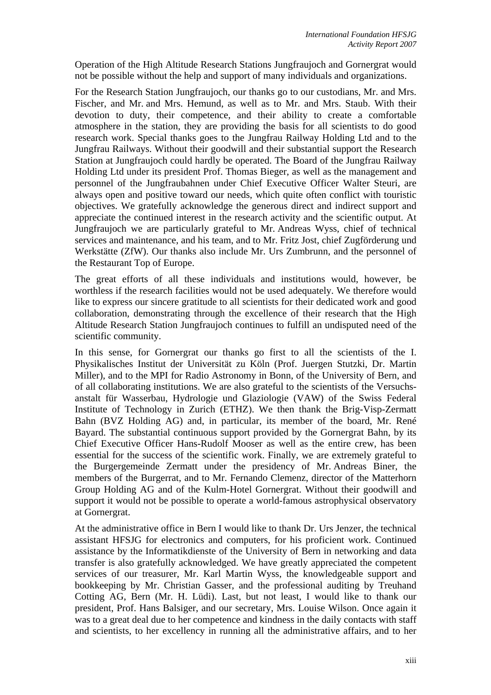Operation of the High Altitude Research Stations Jungfraujoch and Gornergrat would not be possible without the help and support of many individuals and organizations.

For the Research Station Jungfraujoch, our thanks go to our custodians, Mr. and Mrs. Fischer, and Mr. and Mrs. Hemund, as well as to Mr. and Mrs. Staub. With their devotion to duty, their competence, and their ability to create a comfortable atmosphere in the station, they are providing the basis for all scientists to do good research work. Special thanks goes to the Jungfrau Railway Holding Ltd and to the Jungfrau Railways. Without their goodwill and their substantial support the Research Station at Jungfraujoch could hardly be operated. The Board of the Jungfrau Railway Holding Ltd under its president Prof. Thomas Bieger, as well as the management and personnel of the Jungfraubahnen under Chief Executive Officer Walter Steuri, are always open and positive toward our needs, which quite often conflict with touristic objectives. We gratefully acknowledge the generous direct and indirect support and appreciate the continued interest in the research activity and the scientific output. At Jungfraujoch we are particularly grateful to Mr. Andreas Wyss, chief of technical services and maintenance, and his team, and to Mr. Fritz Jost, chief Zugförderung und Werkstätte (ZfW). Our thanks also include Mr. Urs Zumbrunn, and the personnel of the Restaurant Top of Europe.

The great efforts of all these individuals and institutions would, however, be worthless if the research facilities would not be used adequately. We therefore would like to express our sincere gratitude to all scientists for their dedicated work and good collaboration, demonstrating through the excellence of their research that the High Altitude Research Station Jungfraujoch continues to fulfill an undisputed need of the scientific community.

In this sense, for Gornergrat our thanks go first to all the scientists of the I. Physikalisches Institut der Universität zu Köln (Prof. Juergen Stutzki, Dr. Martin Miller), and to the MPI for Radio Astronomy in Bonn, of the University of Bern, and of all collaborating institutions. We are also grateful to the scientists of the Versuchsanstalt für Wasserbau, Hydrologie und Glaziologie (VAW) of the Swiss Federal Institute of Technology in Zurich (ETHZ). We then thank the Brig-Visp-Zermatt Bahn (BVZ Holding AG) and, in particular, its member of the board, Mr. René Bayard. The substantial continuous support provided by the Gornergrat Bahn, by its Chief Executive Officer Hans-Rudolf Mooser as well as the entire crew, has been essential for the success of the scientific work. Finally, we are extremely grateful to the Burgergemeinde Zermatt under the presidency of Mr. Andreas Biner, the members of the Burgerrat, and to Mr. Fernando Clemenz, director of the Matterhorn Group Holding AG and of the Kulm-Hotel Gornergrat. Without their goodwill and support it would not be possible to operate a world-famous astrophysical observatory at Gornergrat.

At the administrative office in Bern I would like to thank Dr. Urs Jenzer, the technical assistant HFSJG for electronics and computers, for his proficient work. Continued assistance by the Informatikdienste of the University of Bern in networking and data transfer is also gratefully acknowledged. We have greatly appreciated the competent services of our treasurer, Mr. Karl Martin Wyss, the knowledgeable support and bookkeeping by Mr. Christian Gasser, and the professional auditing by Treuhand Cotting AG, Bern (Mr. H. Lüdi). Last, but not least, I would like to thank our president, Prof. Hans Balsiger, and our secretary, Mrs. Louise Wilson. Once again it was to a great deal due to her competence and kindness in the daily contacts with staff and scientists, to her excellency in running all the administrative affairs, and to her